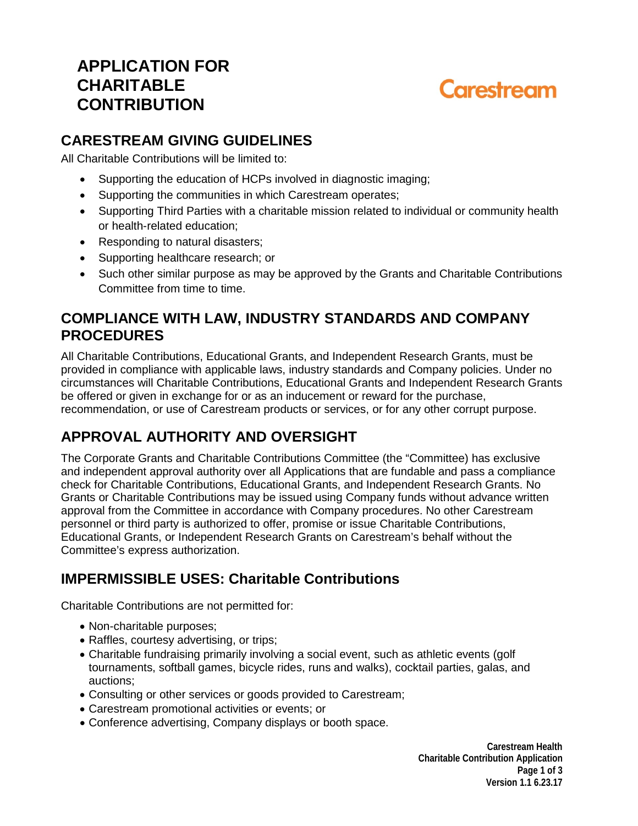# **APPLICATION FOR CHARITABLE CONTRIBUTION**

# Carestream

## **CARESTREAM GIVING GUIDELINES**

All Charitable Contributions will be limited to:

- Supporting the education of HCPs involved in diagnostic imaging;
- Supporting the communities in which Carestream operates;
- Supporting Third Parties with a charitable mission related to individual or community health or health-related education;
- Responding to natural disasters;
- Supporting healthcare research; or
- Such other similar purpose as may be approved by the Grants and Charitable Contributions Committee from time to time.

### **COMPLIANCE WITH LAW, INDUSTRY STANDARDS AND COMPANY PROCEDURES**

All Charitable Contributions, Educational Grants, and Independent Research Grants, must be provided in compliance with applicable laws, industry standards and Company policies. Under no circumstances will Charitable Contributions, Educational Grants and Independent Research Grants be offered or given in exchange for or as an inducement or reward for the purchase, recommendation, or use of Carestream products or services, or for any other corrupt purpose.

# **APPROVAL AUTHORITY AND OVERSIGHT**

The Corporate Grants and Charitable Contributions Committee (the "Committee) has exclusive and independent approval authority over all Applications that are fundable and pass a compliance check for Charitable Contributions, Educational Grants, and Independent Research Grants. No Grants or Charitable Contributions may be issued using Company funds without advance written approval from the Committee in accordance with Company procedures. No other Carestream personnel or third party is authorized to offer, promise or issue Charitable Contributions, Educational Grants, or Independent Research Grants on Carestream's behalf without the Committee's express authorization.

# **IMPERMISSIBLE USES: Charitable Contributions**

Charitable Contributions are not permitted for:

- Non-charitable purposes;
- Raffles, courtesy advertising, or trips;
- Charitable fundraising primarily involving a social event, such as athletic events (golf tournaments, softball games, bicycle rides, runs and walks), cocktail parties, galas, and auctions;
- Consulting or other services or goods provided to Carestream;
- Carestream promotional activities or events; or
- Conference advertising, Company displays or booth space.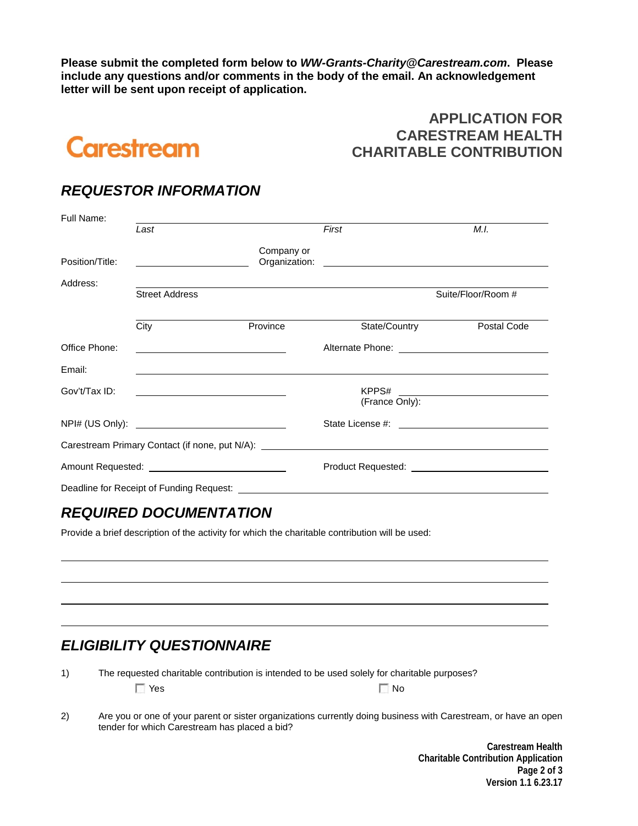**Please submit the completed form below to** *WW-Grants-Charity@Carestream.com***. Please include any questions and/or comments in the body of the email. An acknowledgement letter will be sent upon receipt of application.** 



#### **APPLICATION FOR CARESTREAM HEALTH CHARITABLE CONTRIBUTION**

#### *REQUESTOR INFORMATION*

| Full Name:      |                                                                                                                     |            |                                                                                   |                    |
|-----------------|---------------------------------------------------------------------------------------------------------------------|------------|-----------------------------------------------------------------------------------|--------------------|
|                 | Last                                                                                                                |            | First                                                                             | M.I.               |
| Position/Title: |                                                                                                                     | Company or |                                                                                   |                    |
| Address:        | <b>Street Address</b>                                                                                               |            |                                                                                   | Suite/Floor/Room # |
|                 | City                                                                                                                | Province   | State/Country                                                                     | Postal Code        |
| Office Phone:   | <u> 1980 - Johann Barbara, martin amerikan basar dan basa dan basa dan basa dan basa dan basa dan basa dan basa</u> |            |                                                                                   |                    |
| Email:          |                                                                                                                     |            |                                                                                   |                    |
| Gov't/Tax ID:   |                                                                                                                     |            | (France Only):                                                                    |                    |
|                 |                                                                                                                     |            |                                                                                   |                    |
|                 |                                                                                                                     |            | Carestream Primary Contact (if none, put N/A): __________________________________ |                    |
|                 | Amount Requested: National Amount Requested:                                                                        |            |                                                                                   |                    |
|                 | Deadline for Receipt of Funding Request: __________                                                                 |            |                                                                                   |                    |

## *REQUIRED DOCUMENTATION*

Provide a brief description of the activity for which the charitable contribution will be used:

#### *ELIGIBILITY QUESTIONNAIRE*

| 1) | The requested charitable contribution is intended to be used solely for charitable purposes? |           |
|----|----------------------------------------------------------------------------------------------|-----------|
|    | $\Box$ Yes                                                                                   | $\Box$ No |

2) Are you or one of your parent or sister organizations currently doing business with Carestream, or have an open tender for which Carestream has placed a bid?

> **Carestream Health Charitable Contribution Application Page 2 of 3 Version 1.1 6.23.17**